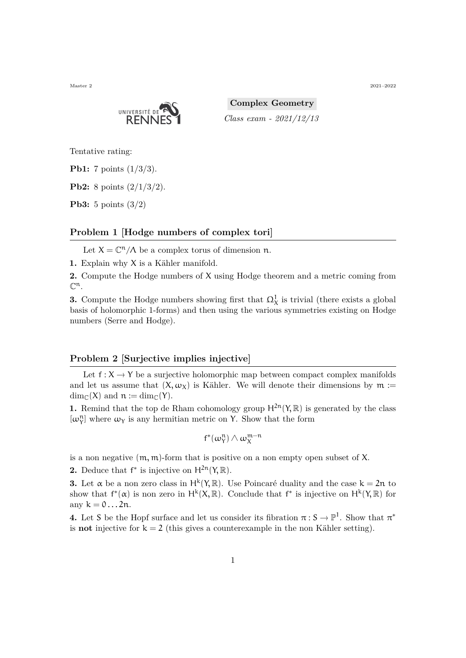Master 2 2021–2022 2021–2022 2021–2022 2021–2022 2021–2022 2021–2022



**Complex Geometry** *Class exam - 2021/12/13*

Tentative rating:

**Pb1:** 7 points (1/3/3).

**Pb2:** 8 points (2/1/3/2).

**Pb3:** 5 points (3/2)

## **Problem 1 [Hodge numbers of complex tori]**

Let  $X = \mathbb{C}^n / \Lambda$  be a complex torus of dimension n.

**1.** Explain why X is a Kähler manifold.

**2.** Compute the Hodge numbers of X using Hodge theorem and a metric coming from  $\mathbb{C}^{\mathfrak{n}}.$ 

**3.** Compute the Hodge numbers showing first that  $\Omega^1_X$  is trivial (there exists a global basis of holomorphic 1-forms) and then using the various symmetries existing on Hodge numbers (Serre and Hodge).

## **Problem 2 [Surjective implies injective]**

Let  $f: X \to Y$  be a surjective holomorphic map between compact complex manifolds and let us assume that  $(X, \omega_X)$  is Kähler. We will denote their dimensions by  $m :=$  $\dim_{\mathbb{C}}(X)$  and  $n := \dim_{\mathbb{C}}(Y)$ .

**1.** Remind that the top de Rham cohomology group  $H^{2n}(Y,\mathbb{R})$  is generated by the class  $[\omega_\Upsilon^n]$  where  $\omega_\Upsilon$  is any hermitian metric on Y. Show that the form

$$
f^*(\omega_Y^n)\wedge\omega_X^{m-n}
$$

is a non negative  $(m, m)$ -form that is positive on a non empty open subset of X.

**2.** Deduce that  $f^*$  is injective on  $H^{2n}(Y,\mathbb{R})$ .

**3.** Let  $\alpha$  be a non zero class in H<sup>k</sup>(Y, R). Use Poincaré duality and the case  $k = 2n$  to show that  $f^*(\alpha)$  is non zero in  $H^k(X,\mathbb{R})$ . Conclude that  $f^*$  is injective on  $H^k(Y,\mathbb{R})$  for any  $k = 0 \dots 2n$ .

**4.** Let S be the Hopf surface and let us consider its fibration  $\pi : S \to \mathbb{P}^1$ . Show that  $\pi^*$ is **not** injective for  $k = 2$  (this gives a counterexample in the non Kähler setting).